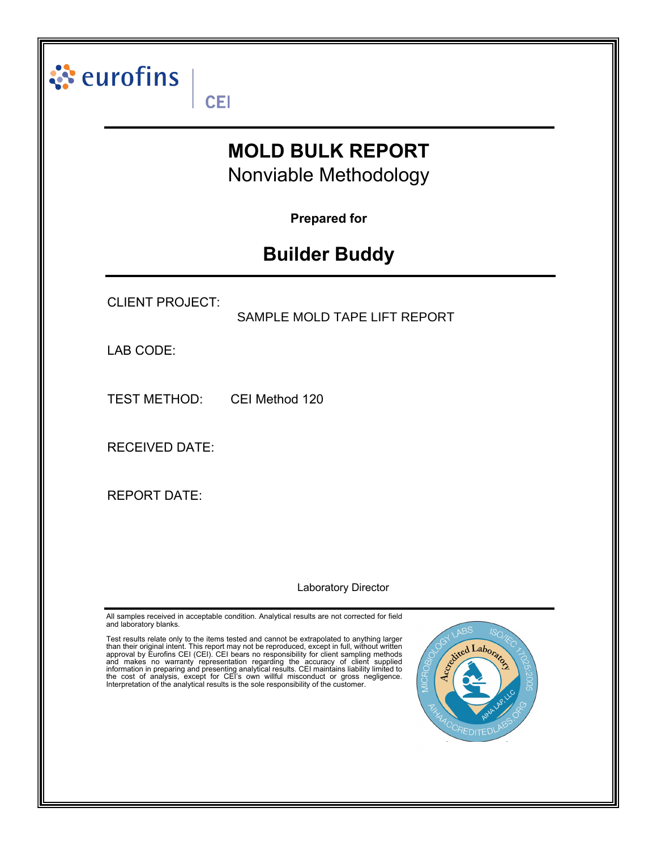|                        | <b>MOLD BULK REPORT</b><br>Nonviable Methodology |
|------------------------|--------------------------------------------------|
|                        | <b>Prepared for</b>                              |
|                        | <b>Builder Buddy</b>                             |
| <b>CLIENT PROJECT:</b> | SAMPLE MOLD TAPE LIFT REPORT                     |
| LAB CODE:              |                                                  |
| <b>TEST METHOD:</b>    | CEI Method 120                                   |
| <b>RECEIVED DATE:</b>  |                                                  |
| <b>REPORT DATE:</b>    |                                                  |
|                        |                                                  |

approval by Eurofins CEI (CEI). CEI bears no responsibility for client sampling methods<br>and makes no warranty representation regarding the accuracy of client supplied<br>information in preparing and presenting analytical resu



7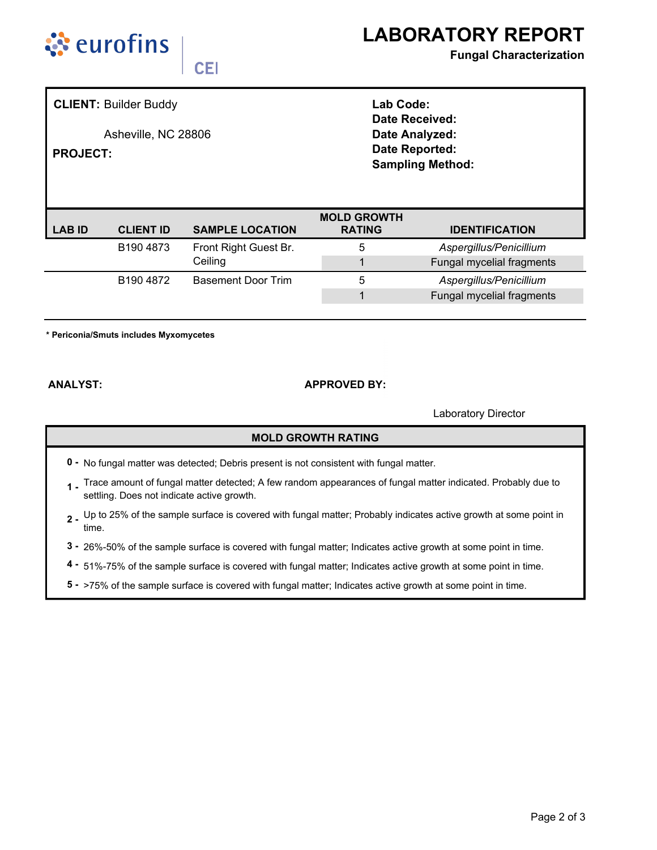



## **Fungal Characterization**

**CEI** 

**CLIENT: Builder Buddy** 

Asheville, NC 28806

**PROJECT:** 

Lab Code: **Date Received:** Date Analyzed: Date Reported: **Sampling Method:** 

| <b>SAMPLE LOCATION</b><br><b>CLIENT ID</b><br><b>IDENTIFICATION</b><br><b>RATING</b><br>LAB ID<br>B190 4873<br>Front Right Guest Br.<br>Aspergillus/Penicillium<br>5<br>Ceiling |  |  | <b>MOLD GROWTH</b> |  |                           |  |  |
|---------------------------------------------------------------------------------------------------------------------------------------------------------------------------------|--|--|--------------------|--|---------------------------|--|--|
|                                                                                                                                                                                 |  |  |                    |  |                           |  |  |
|                                                                                                                                                                                 |  |  |                    |  |                           |  |  |
|                                                                                                                                                                                 |  |  |                    |  | Fungal mycelial fragments |  |  |
| Basement Door Trim<br>5<br>Aspergillus/Penicillium<br>B <sub>190</sub> 4872                                                                                                     |  |  |                    |  |                           |  |  |
|                                                                                                                                                                                 |  |  |                    |  | Fungal mycelial fragments |  |  |

\* Periconia/Smuts includes Myxomycetes

**ANALYST:** 

## **APPROVED BY:**

Laboratory Director

## **MOLD GROWTH RATING**

- 0 No fungal matter was detected; Debris present is not consistent with fungal matter.
- 1. Trace amount of fungal matter detected; A few random appearances of fungal matter indicated. Probably due to settling. Does not indicate active growth.
- 2 Up to 25% of the sample surface is covered with fungal matter; Probably indicates active growth at some point in time.
- 3 26%-50% of the sample surface is covered with fungal matter; Indicates active growth at some point in time.
- 4 51%-75% of the sample surface is covered with fungal matter; Indicates active growth at some point in time.
- 5 >75% of the sample surface is covered with fungal matter; Indicates active growth at some point in time.